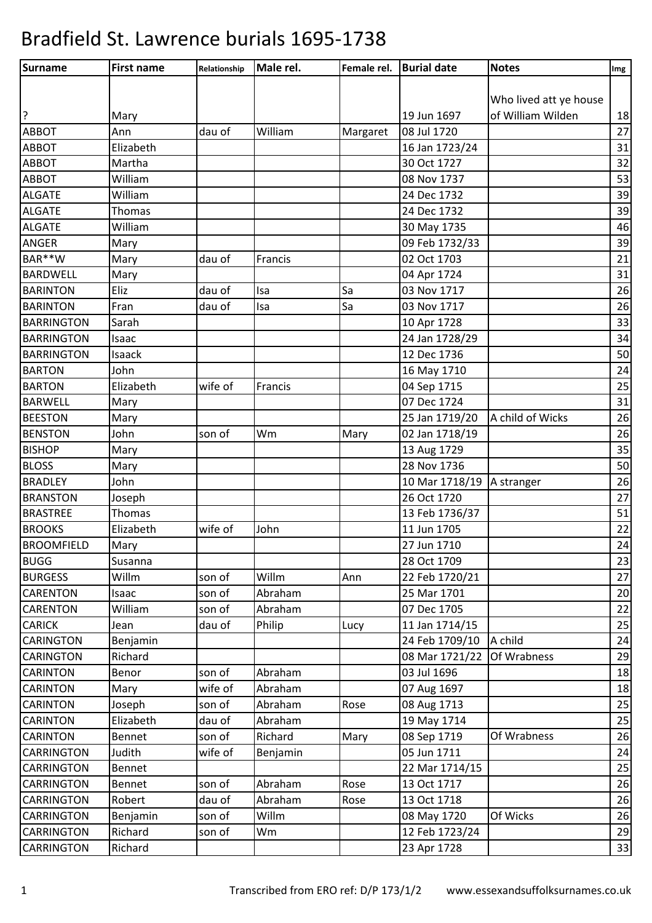| <b>Surname</b>    | <b>First name</b> | Relationship | Male rel. | Female rel. | <b>Burial date</b> | <b>Notes</b>           | Img |
|-------------------|-------------------|--------------|-----------|-------------|--------------------|------------------------|-----|
|                   |                   |              |           |             |                    |                        |     |
|                   |                   |              |           |             |                    | Who lived att ye house |     |
| ?                 | Mary              |              |           |             | 19 Jun 1697        | of William Wilden      | 18  |
| <b>ABBOT</b>      | Ann               | dau of       | William   | Margaret    | 08 Jul 1720        |                        | 27  |
| <b>ABBOT</b>      | Elizabeth         |              |           |             | 16 Jan 1723/24     |                        | 31  |
| <b>ABBOT</b>      | Martha            |              |           |             | 30 Oct 1727        |                        | 32  |
| <b>ABBOT</b>      | William           |              |           |             | 08 Nov 1737        |                        | 53  |
| <b>ALGATE</b>     | William           |              |           |             | 24 Dec 1732        |                        | 39  |
| <b>ALGATE</b>     | Thomas            |              |           |             | 24 Dec 1732        |                        | 39  |
| <b>ALGATE</b>     | William           |              |           |             | 30 May 1735        |                        | 46  |
| ANGER             | Mary              |              |           |             | 09 Feb 1732/33     |                        | 39  |
| BAR**W            | Mary              | dau of       | Francis   |             | 02 Oct 1703        |                        | 21  |
| <b>BARDWELL</b>   | Mary              |              |           |             | 04 Apr 1724        |                        | 31  |
| <b>BARINTON</b>   | Eliz              | dau of       | Isa       | Sa          | 03 Nov 1717        |                        | 26  |
| <b>BARINTON</b>   | Fran              | dau of       | Isa       | Sa          | 03 Nov 1717        |                        | 26  |
| <b>BARRINGTON</b> | Sarah             |              |           |             | 10 Apr 1728        |                        | 33  |
| <b>BARRINGTON</b> | Isaac             |              |           |             | 24 Jan 1728/29     |                        | 34  |
| <b>BARRINGTON</b> | Isaack            |              |           |             | 12 Dec 1736        |                        | 50  |
| <b>BARTON</b>     | John              |              |           |             | 16 May 1710        |                        | 24  |
| <b>BARTON</b>     | Elizabeth         | wife of      | Francis   |             | 04 Sep 1715        |                        | 25  |
| <b>BARWELL</b>    | Mary              |              |           |             | 07 Dec 1724        |                        | 31  |
| <b>BEESTON</b>    | Mary              |              |           |             | 25 Jan 1719/20     | A child of Wicks       | 26  |
| <b>BENSTON</b>    | John              | son of       | Wm        | Mary        | 02 Jan 1718/19     |                        | 26  |
| <b>BISHOP</b>     | Mary              |              |           |             | 13 Aug 1729        |                        | 35  |
| <b>BLOSS</b>      | Mary              |              |           |             | 28 Nov 1736        |                        | 50  |
| <b>BRADLEY</b>    | John              |              |           |             | 10 Mar 1718/19     | A stranger             | 26  |
| <b>BRANSTON</b>   | Joseph            |              |           |             | 26 Oct 1720        |                        | 27  |
| <b>BRASTREE</b>   | Thomas            |              |           |             | 13 Feb 1736/37     |                        | 51  |
| <b>BROOKS</b>     | Elizabeth         | wife of      | John      |             | 11 Jun 1705        |                        | 22  |
| <b>BROOMFIELD</b> | Mary              |              |           |             | 27 Jun 1710        |                        | 24  |
| <b>BUGG</b>       | Susanna           |              |           |             | 28 Oct 1709        |                        | 23  |
| <b>BURGESS</b>    | Willm             | son of       | Willm     | Ann         | 22 Feb 1720/21     |                        | 27  |
| <b>CARENTON</b>   | Isaac             | son of       | Abraham   |             | 25 Mar 1701        |                        | 20  |
| <b>CARENTON</b>   | William           | son of       | Abraham   |             | 07 Dec 1705        |                        | 22  |
| <b>CARICK</b>     | Jean              | dau of       | Philip    | Lucy        | 11 Jan 1714/15     |                        | 25  |
| <b>CARINGTON</b>  | Benjamin          |              |           |             | 24 Feb 1709/10     | A child                | 24  |
| <b>CARINGTON</b>  | Richard           |              |           |             | 08 Mar 1721/22     | Of Wrabness            | 29  |
| <b>CARINTON</b>   | Benor             | son of       | Abraham   |             | 03 Jul 1696        |                        | 18  |
| <b>CARINTON</b>   | Mary              | wife of      | Abraham   |             | 07 Aug 1697        |                        | 18  |
| <b>CARINTON</b>   | Joseph            | son of       | Abraham   | Rose        | 08 Aug 1713        |                        | 25  |
| <b>CARINTON</b>   | Elizabeth         | dau of       | Abraham   |             | 19 May 1714        |                        | 25  |
| <b>CARINTON</b>   | Bennet            | son of       | Richard   | Mary        | 08 Sep 1719        | Of Wrabness            | 26  |
| <b>CARRINGTON</b> | Judith            | wife of      | Benjamin  |             | 05 Jun 1711        |                        | 24  |
| <b>CARRINGTON</b> | Bennet            |              |           |             | 22 Mar 1714/15     |                        | 25  |
| <b>CARRINGTON</b> | Bennet            | son of       | Abraham   | Rose        | 13 Oct 1717        |                        | 26  |
| <b>CARRINGTON</b> | Robert            | dau of       | Abraham   | Rose        | 13 Oct 1718        |                        | 26  |
| <b>CARRINGTON</b> | Benjamin          | son of       | Willm     |             | 08 May 1720        | Of Wicks               | 26  |
| <b>CARRINGTON</b> | Richard           | son of       | Wm        |             | 12 Feb 1723/24     |                        | 29  |
| <b>CARRINGTON</b> | Richard           |              |           |             | 23 Apr 1728        |                        | 33  |
|                   |                   |              |           |             |                    |                        |     |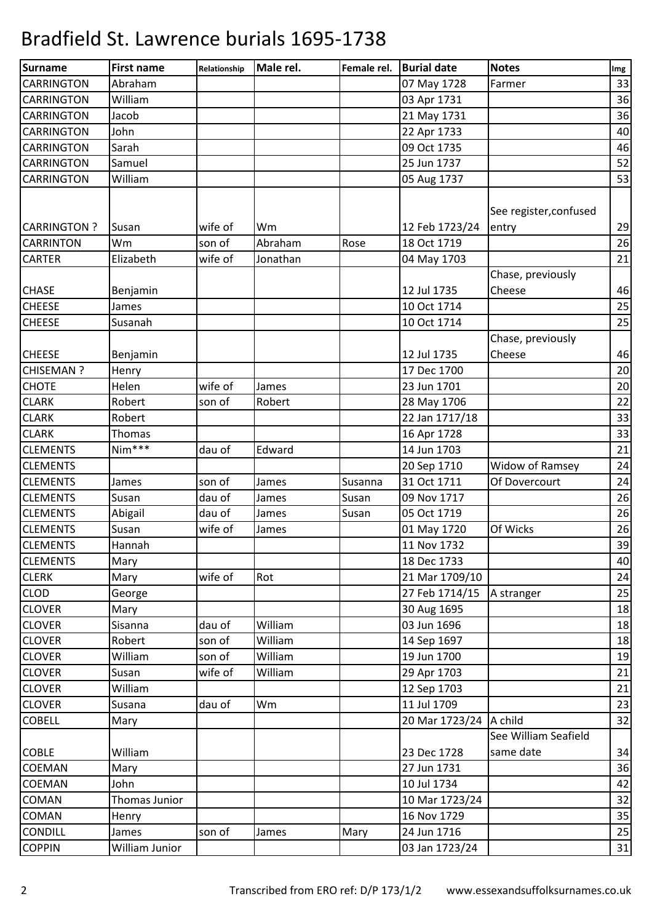| Surname<br><b>Notes</b><br>Male rel.<br>Female rel.<br><b>Burial date</b><br><b>First name</b><br>Relationship | Img                                     |
|----------------------------------------------------------------------------------------------------------------|-----------------------------------------|
| <b>CARRINGTON</b><br>Abraham<br>07 May 1728<br>Farmer                                                          | 33                                      |
| <b>CARRINGTON</b><br>William<br>03 Apr 1731                                                                    | 36                                      |
| <b>CARRINGTON</b><br>Jacob<br>21 May 1731                                                                      | 36                                      |
| <b>CARRINGTON</b><br>John<br>22 Apr 1733                                                                       | 40                                      |
| Sarah<br><b>CARRINGTON</b><br>09 Oct 1735                                                                      | 46                                      |
| 25 Jun 1737<br><b>CARRINGTON</b><br>Samuel                                                                     | 52                                      |
| <b>CARRINGTON</b><br>William<br>05 Aug 1737                                                                    | 53                                      |
|                                                                                                                | See register, confused                  |
| <b>CARRINGTON?</b><br>wife of<br>12 Feb 1723/24<br>Susan<br>Wm<br>entry                                        | 29                                      |
| Wm<br>son of<br>Abraham<br><b>CARRINTON</b><br>Rose<br>18 Oct 1719                                             | 26                                      |
| <b>CARTER</b><br>wife of<br>Elizabeth<br>Jonathan<br>04 May 1703                                               | 21                                      |
| <b>CHASE</b><br>12 Jul 1735<br>Cheese<br>Benjamin                                                              | Chase, previously<br>46                 |
| <b>CHEESE</b><br>10 Oct 1714<br>James                                                                          | 25                                      |
| <b>CHEESE</b><br>10 Oct 1714<br>Susanah                                                                        | 25                                      |
| <b>CHEESE</b><br>12 Jul 1735<br>Cheese<br>Benjamin                                                             | Chase, previously<br>46                 |
| 17 Dec 1700<br><b>CHISEMAN?</b><br>Henry                                                                       | 20                                      |
| <b>CHOTE</b><br>wife of<br>Helen<br>23 Jun 1701<br>James                                                       | 20                                      |
| <b>CLARK</b><br>Robert<br>son of<br>Robert<br>28 May 1706                                                      | 22                                      |
| <b>CLARK</b><br>22 Jan 1717/18<br>Robert                                                                       | 33                                      |
| <b>CLARK</b><br>16 Apr 1728<br>Thomas                                                                          | 33                                      |
| Nim***<br><b>CLEMENTS</b><br>dau of<br>Edward<br>14 Jun 1703                                                   | 21                                      |
| <b>CLEMENTS</b><br>20 Sep 1710                                                                                 | Widow of Ramsey<br>24                   |
| 31 Oct 1711<br><b>CLEMENTS</b><br>son of<br>James<br>James<br>Susanna                                          | Of Dovercourt<br>24                     |
| dau of<br><b>CLEMENTS</b><br>Susan<br>09 Nov 1717<br>Susan<br>James                                            | 26                                      |
| <b>CLEMENTS</b><br>dau of<br>Susan<br>05 Oct 1719<br>Abigail<br>James                                          | 26                                      |
| <b>CLEMENTS</b><br>Susan<br>wife of<br>01 May 1720<br>James                                                    | Of Wicks<br>26                          |
| <b>CLEMENTS</b><br>11 Nov 1732<br>Hannah                                                                       | 39                                      |
| 18 Dec 1733<br><b>CLEMENTS</b><br>Mary                                                                         | 40                                      |
| wife of<br><b>CLERK</b><br>21 Mar 1709/10<br>Rot<br>Mary                                                       | 24                                      |
| <b>CLOD</b><br>27 Feb 1714/15<br>George                                                                        | 25<br>A stranger                        |
| <b>CLOVER</b><br>30 Aug 1695<br>Mary                                                                           | 18                                      |
| <b>CLOVER</b><br>dau of<br>William<br>03 Jun 1696<br>Sisanna                                                   | 18                                      |
| <b>CLOVER</b><br>Robert<br>son of<br>William<br>14 Sep 1697                                                    | 18                                      |
| <b>CLOVER</b><br>son of<br>William<br>19 Jun 1700<br>William                                                   | 19                                      |
| <b>CLOVER</b><br>wife of<br>William<br>29 Apr 1703<br>Susan                                                    | 21                                      |
| <b>CLOVER</b><br>12 Sep 1703<br>William                                                                        | 21                                      |
| <b>CLOVER</b><br>dau of<br>Wm<br>11 Jul 1709<br>Susana                                                         | 23                                      |
| <b>COBELL</b><br>20 Mar 1723/24<br>A child<br>Mary                                                             | 32                                      |
| <b>COBLE</b><br>William<br>23 Dec 1728                                                                         | See William Seafield<br>same date<br>34 |
| 27 Jun 1731<br>COEMAN<br>Mary                                                                                  | 36                                      |
| John<br><b>COEMAN</b><br>10 Jul 1734                                                                           | 42                                      |
| <b>COMAN</b><br>Thomas Junior<br>10 Mar 1723/24                                                                | 32                                      |
| 16 Nov 1729<br>COMAN<br>Henry                                                                                  | 35                                      |
| 24 Jun 1716<br><b>CONDILL</b><br>Mary<br>James<br>son of<br>James                                              | 25                                      |
| William Junior<br><b>COPPIN</b><br>03 Jan 1723/24                                                              | $31\,$                                  |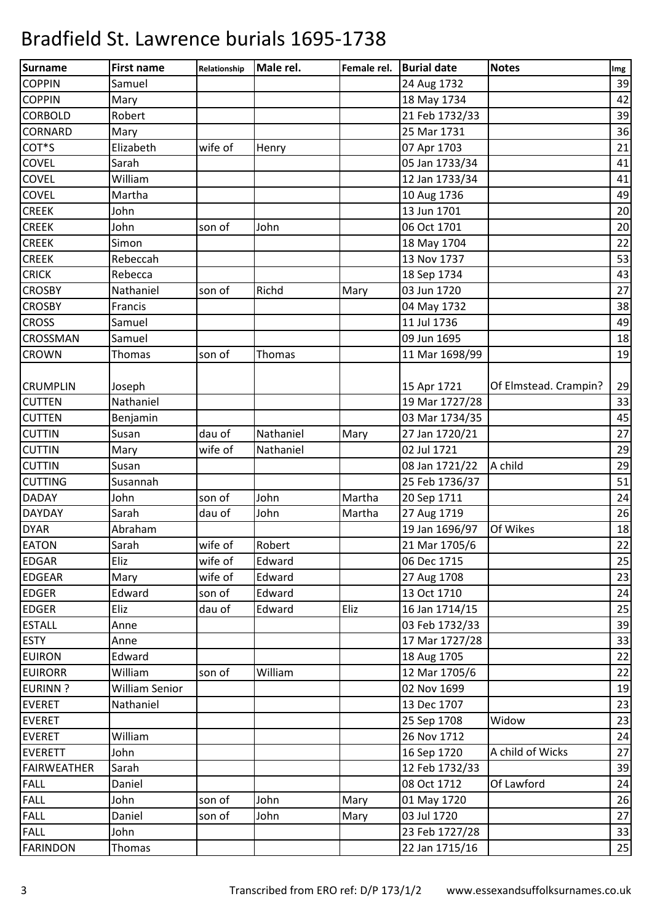| <b>Surname</b>     | <b>First name</b>     | Relationship | Male rel.     | Female rel. | <b>Burial date</b> | <b>Notes</b>          | Img |
|--------------------|-----------------------|--------------|---------------|-------------|--------------------|-----------------------|-----|
| <b>COPPIN</b>      | Samuel                |              |               |             | 24 Aug 1732        |                       | 39  |
| <b>COPPIN</b>      | Mary                  |              |               |             | 18 May 1734        |                       | 42  |
| <b>CORBOLD</b>     | Robert                |              |               |             | 21 Feb 1732/33     |                       | 39  |
| <b>CORNARD</b>     | Mary                  |              |               |             | 25 Mar 1731        |                       | 36  |
| COT <sup>*</sup> S | Elizabeth             | wife of      | Henry         |             | 07 Apr 1703        |                       | 21  |
| <b>COVEL</b>       | Sarah                 |              |               |             | 05 Jan 1733/34     |                       | 41  |
| <b>COVEL</b>       | William               |              |               |             | 12 Jan 1733/34     |                       | 41  |
| <b>COVEL</b>       | Martha                |              |               |             | 10 Aug 1736        |                       | 49  |
| <b>CREEK</b>       | John                  |              |               |             | 13 Jun 1701        |                       | 20  |
| <b>CREEK</b>       | John                  | son of       | John          |             | 06 Oct 1701        |                       | 20  |
| <b>CREEK</b>       | Simon                 |              |               |             | 18 May 1704        |                       | 22  |
| <b>CREEK</b>       | Rebeccah              |              |               |             | 13 Nov 1737        |                       | 53  |
| <b>CRICK</b>       | Rebecca               |              |               |             | 18 Sep 1734        |                       | 43  |
| <b>CROSBY</b>      | Nathaniel             | son of       | Richd         | Mary        | 03 Jun 1720        |                       | 27  |
| <b>CROSBY</b>      | Francis               |              |               |             | 04 May 1732        |                       | 38  |
| <b>CROSS</b>       | Samuel                |              |               |             | 11 Jul 1736        |                       | 49  |
| <b>CROSSMAN</b>    | Samuel                |              |               |             | 09 Jun 1695        |                       | 18  |
| <b>CROWN</b>       | Thomas                | son of       | <b>Thomas</b> |             | 11 Mar 1698/99     |                       | 19  |
| <b>CRUMPLIN</b>    | Joseph                |              |               |             | 15 Apr 1721        | Of Elmstead. Crampin? | 29  |
| <b>CUTTEN</b>      | Nathaniel             |              |               |             | 19 Mar 1727/28     |                       | 33  |
| <b>CUTTEN</b>      | Benjamin              |              |               |             | 03 Mar 1734/35     |                       | 45  |
| <b>CUTTIN</b>      | Susan                 | dau of       | Nathaniel     | Mary        | 27 Jan 1720/21     |                       | 27  |
| <b>CUTTIN</b>      | Mary                  | wife of      | Nathaniel     |             | 02 Jul 1721        |                       | 29  |
| <b>CUTTIN</b>      | Susan                 |              |               |             | 08 Jan 1721/22     | A child               | 29  |
| <b>CUTTING</b>     | Susannah              |              |               |             | 25 Feb 1736/37     |                       | 51  |
| <b>DADAY</b>       | John                  | son of       | John          | Martha      | 20 Sep 1711        |                       | 24  |
| <b>DAYDAY</b>      | Sarah                 | dau of       | John          | Martha      | 27 Aug 1719        |                       | 26  |
| <b>DYAR</b>        | Abraham               |              |               |             | 19 Jan 1696/97     | Of Wikes              | 18  |
| <b>EATON</b>       | Sarah                 | wife of      | Robert        |             | 21 Mar 1705/6      |                       | 22  |
| <b>EDGAR</b>       | Eliz                  | wife of      | Edward        |             | 06 Dec 1715        |                       | 25  |
| <b>EDGEAR</b>      | Mary                  | wife of      | Edward        |             | 27 Aug 1708        |                       | 23  |
| <b>EDGER</b>       | Edward                | son of       | Edward        |             | 13 Oct 1710        |                       | 24  |
| <b>EDGER</b>       | Eliz                  | dau of       | Edward        | Eliz        | 16 Jan 1714/15     |                       | 25  |
| <b>ESTALL</b>      | Anne                  |              |               |             | 03 Feb 1732/33     |                       | 39  |
| <b>ESTY</b>        | Anne                  |              |               |             | 17 Mar 1727/28     |                       | 33  |
| <b>EUIRON</b>      | Edward                |              |               |             | 18 Aug 1705        |                       | 22  |
| <b>EUIRORR</b>     | William               | son of       | William       |             | 12 Mar 1705/6      |                       | 22  |
| <b>EURINN?</b>     | <b>William Senior</b> |              |               |             | 02 Nov 1699        |                       | 19  |
| <b>EVERET</b>      | Nathaniel             |              |               |             | 13 Dec 1707        |                       | 23  |
| <b>EVERET</b>      |                       |              |               |             | 25 Sep 1708        | Widow                 | 23  |
| <b>EVERET</b>      | William               |              |               |             | 26 Nov 1712        |                       | 24  |
| <b>EVERETT</b>     | John                  |              |               |             | 16 Sep 1720        | A child of Wicks      | 27  |
| <b>FAIRWEATHER</b> | Sarah                 |              |               |             | 12 Feb 1732/33     |                       | 39  |
| <b>FALL</b>        | Daniel                |              |               |             | 08 Oct 1712        | Of Lawford            | 24  |
| <b>FALL</b>        | John                  | son of       | John          | Mary        | 01 May 1720        |                       | 26  |
| <b>FALL</b>        | Daniel                | son of       | John          | Mary        | 03 Jul 1720        |                       | 27  |
| <b>FALL</b>        | John                  |              |               |             | 23 Feb 1727/28     |                       | 33  |
| <b>FARINDON</b>    | Thomas                |              |               |             | 22 Jan 1715/16     |                       | 25  |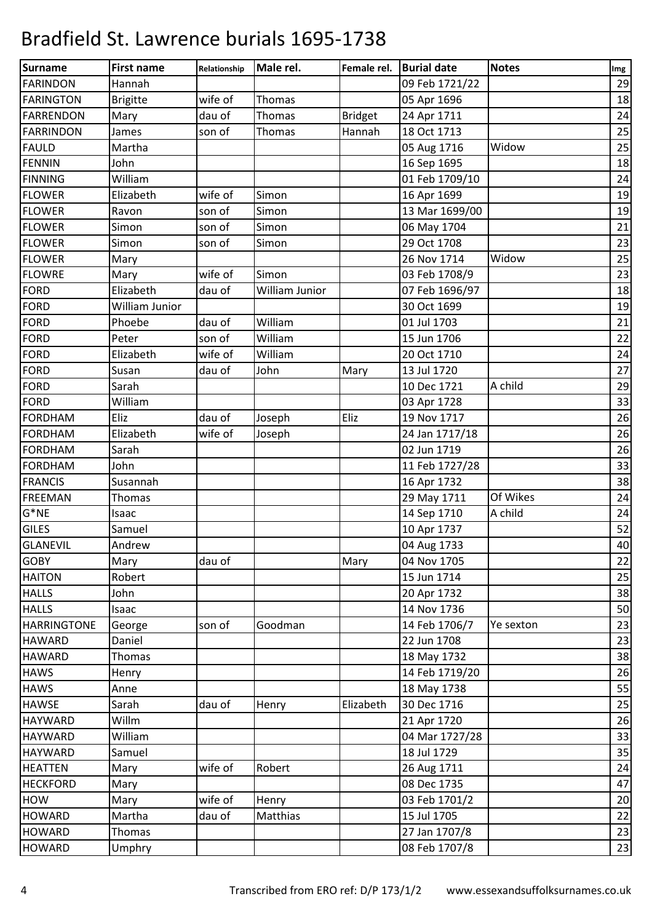| <b>Surname</b>     | <b>First name</b> | Relationship | Male rel.      | Female rel.    | <b>Burial date</b> | <b>Notes</b> | Img |
|--------------------|-------------------|--------------|----------------|----------------|--------------------|--------------|-----|
| <b>FARINDON</b>    | Hannah            |              |                |                | 09 Feb 1721/22     |              | 29  |
| <b>FARINGTON</b>   | <b>Brigitte</b>   | wife of      | Thomas         |                | 05 Apr 1696        |              | 18  |
| <b>FARRENDON</b>   | Mary              | dau of       | Thomas         | <b>Bridget</b> | 24 Apr 1711        |              | 24  |
| <b>FARRINDON</b>   | James             | son of       | <b>Thomas</b>  | Hannah         | 18 Oct 1713        |              | 25  |
| <b>FAULD</b>       | Martha            |              |                |                | 05 Aug 1716        | Widow        | 25  |
| <b>FENNIN</b>      | John              |              |                |                | 16 Sep 1695        |              | 18  |
| <b>FINNING</b>     | William           |              |                |                | 01 Feb 1709/10     |              | 24  |
| <b>FLOWER</b>      | Elizabeth         | wife of      | Simon          |                | 16 Apr 1699        |              | 19  |
| <b>FLOWER</b>      | Ravon             | son of       | Simon          |                | 13 Mar 1699/00     |              | 19  |
| <b>FLOWER</b>      | Simon             | son of       | Simon          |                | 06 May 1704        |              | 21  |
| <b>FLOWER</b>      | Simon             | son of       | Simon          |                | 29 Oct 1708        |              | 23  |
| <b>FLOWER</b>      | Mary              |              |                |                | 26 Nov 1714        | Widow        | 25  |
| <b>FLOWRE</b>      | Mary              | wife of      | Simon          |                | 03 Feb 1708/9      |              | 23  |
| <b>FORD</b>        | Elizabeth         | dau of       | William Junior |                | 07 Feb 1696/97     |              | 18  |
| <b>FORD</b>        | William Junior    |              |                |                | 30 Oct 1699        |              | 19  |
| <b>FORD</b>        | Phoebe            | dau of       | William        |                | 01 Jul 1703        |              | 21  |
| <b>FORD</b>        | Peter             | son of       | William        |                | 15 Jun 1706        |              | 22  |
| <b>FORD</b>        | Elizabeth         | wife of      | William        |                | 20 Oct 1710        |              | 24  |
| <b>FORD</b>        | Susan             | dau of       | John           | Mary           | 13 Jul 1720        |              | 27  |
| <b>FORD</b>        | Sarah             |              |                |                | 10 Dec 1721        | A child      | 29  |
| <b>FORD</b>        | William           |              |                |                | 03 Apr 1728        |              | 33  |
| <b>FORDHAM</b>     | Eliz              | dau of       | Joseph         | Eliz           | 19 Nov 1717        |              | 26  |
| <b>FORDHAM</b>     | Elizabeth         | wife of      | Joseph         |                | 24 Jan 1717/18     |              | 26  |
| <b>FORDHAM</b>     | Sarah             |              |                |                | 02 Jun 1719        |              | 26  |
| <b>FORDHAM</b>     | John              |              |                |                | 11 Feb 1727/28     |              | 33  |
| <b>FRANCIS</b>     | Susannah          |              |                |                | 16 Apr 1732        |              | 38  |
| <b>FREEMAN</b>     | Thomas            |              |                |                | 29 May 1711        | Of Wikes     | 24  |
| $G^*NE$            | Isaac             |              |                |                | 14 Sep 1710        | A child      | 24  |
| <b>GILES</b>       | Samuel            |              |                |                | 10 Apr 1737        |              | 52  |
| <b>GLANEVIL</b>    | Andrew            |              |                |                | 04 Aug 1733        |              | 40  |
| <b>GOBY</b>        | Mary              | dau of       |                | Mary           | 04 Nov 1705        |              | 22  |
| <b>HAITON</b>      | Robert            |              |                |                | 15 Jun 1714        |              | 25  |
| <b>HALLS</b>       | John              |              |                |                | 20 Apr 1732        |              | 38  |
| <b>HALLS</b>       | Isaac             |              |                |                | 14 Nov 1736        |              | 50  |
| <b>HARRINGTONE</b> | George            | son of       | Goodman        |                | 14 Feb 1706/7      | Ye sexton    | 23  |
| <b>HAWARD</b>      | Daniel            |              |                |                | 22 Jun 1708        |              | 23  |
| <b>HAWARD</b>      | Thomas            |              |                |                | 18 May 1732        |              | 38  |
| <b>HAWS</b>        | Henry             |              |                |                | 14 Feb 1719/20     |              | 26  |
| <b>HAWS</b>        | Anne              |              |                |                | 18 May 1738        |              | 55  |
| <b>HAWSE</b>       | Sarah             | dau of       | Henry          | Elizabeth      | 30 Dec 1716        |              | 25  |
| <b>HAYWARD</b>     | Willm             |              |                |                | 21 Apr 1720        |              | 26  |
| <b>HAYWARD</b>     | William           |              |                |                | 04 Mar 1727/28     |              | 33  |
| <b>HAYWARD</b>     | Samuel            |              |                |                | 18 Jul 1729        |              | 35  |
| <b>HEATTEN</b>     | Mary              | wife of      | Robert         |                | 26 Aug 1711        |              | 24  |
| <b>HECKFORD</b>    | Mary              |              |                |                | 08 Dec 1735        |              | 47  |
| <b>HOW</b>         | Mary              | wife of      | Henry          |                | 03 Feb 1701/2      |              | 20  |
| <b>HOWARD</b>      | Martha            | dau of       | Matthias       |                | 15 Jul 1705        |              | 22  |
| <b>HOWARD</b>      | Thomas            |              |                |                | 27 Jan 1707/8      |              | 23  |
| <b>HOWARD</b>      | Umphry            |              |                |                | 08 Feb 1707/8      |              | 23  |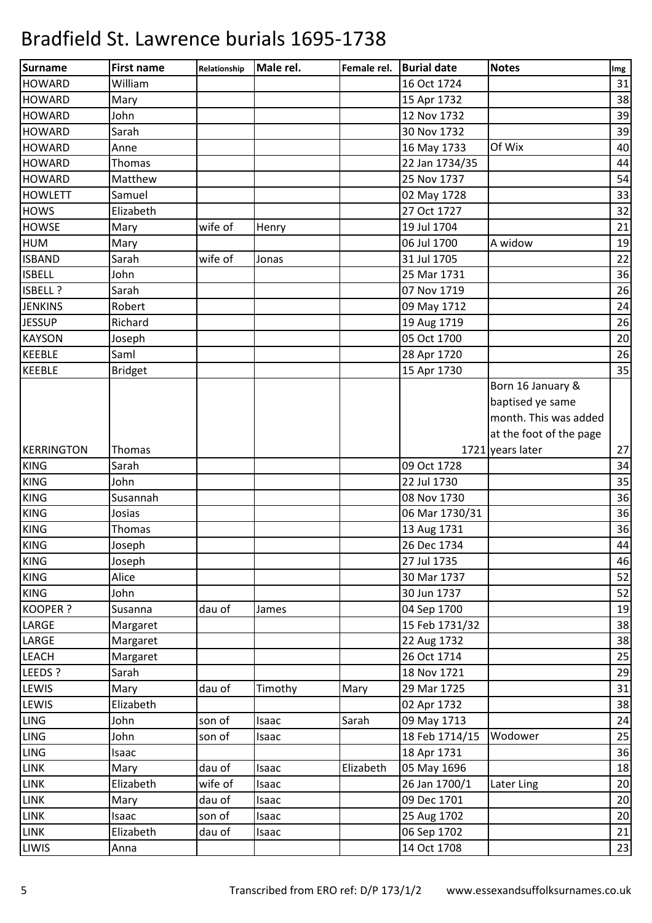| William<br>16 Oct 1724<br>31<br>Mary<br>15 Apr 1732<br>John<br>12 Nov 1732<br>Sarah<br>30 Nov 1732<br>16 May 1733<br>Of Wix<br>Anne<br>Thomas<br>22 Jan 1734/35<br>25 Nov 1737<br>Matthew<br>Samuel<br>02 May 1728<br>27 Oct 1727<br>Elizabeth<br>wife of<br>19 Jul 1704<br>Mary<br>Henry<br>06 Jul 1700<br>A widow<br>Mary<br><b>ISBAND</b><br>Sarah<br>wife of<br>31 Jul 1705<br>Jonas<br>John<br>25 Mar 1731<br>Sarah<br>07 Nov 1719<br>Robert<br>09 May 1712<br>Richard<br>19 Aug 1719<br>05 Oct 1700<br>Joseph<br>Saml<br>28 Apr 1720<br>15 Apr 1730<br><b>Bridget</b><br>Born 16 January &<br>baptised ye same<br>month. This was added<br>at the foot of the page<br>1721 years later<br>Thomas<br>Sarah<br>09 Oct 1728<br>John<br>22 Jul 1730<br>Susannah<br>08 Nov 1730<br>Josias<br>06 Mar 1730/31<br>Thomas<br>13 Aug 1731<br>26 Dec 1734<br>Joseph<br>Joseph<br>27 Jul 1735<br>Alice<br>30 Mar 1737<br>John<br>30 Jun 1737<br>dau of<br>04 Sep 1700<br>Susanna<br>James<br>15 Feb 1731/32<br>Margaret<br>Margaret<br>22 Aug 1732<br>26 Oct 1714<br>Margaret<br>LEEDS ?<br>18 Nov 1721<br>Sarah<br>Mary<br>dau of<br>29 Mar 1725<br>Timothy<br>Mary<br>Elizabeth<br>02 Apr 1732<br>Sarah<br>John<br>son of<br>09 May 1713<br>Isaac<br>John<br>18 Feb 1714/15<br>son of<br>Wodower<br>Isaac<br>18 Apr 1731<br>Isaac<br>dau of<br>Elizabeth<br>05 May 1696<br>Mary<br>Isaac<br>wife of<br>Elizabeth<br>26 Jan 1700/1<br>Later Ling<br>Isaac<br>dau of<br>09 Dec 1701<br>Mary<br>Isaac<br>son of<br>25 Aug 1702<br>Isaac<br>Isaac<br>06 Sep 1702<br>Elizabeth<br>dau of<br>Isaac<br>Anna<br>14 Oct 1708 | <b>Surname</b>  | <b>First name</b> | Relationship | Male rel. | Female rel. | <b>Burial date</b> | <b>Notes</b> | Img |
|-----------------------------------------------------------------------------------------------------------------------------------------------------------------------------------------------------------------------------------------------------------------------------------------------------------------------------------------------------------------------------------------------------------------------------------------------------------------------------------------------------------------------------------------------------------------------------------------------------------------------------------------------------------------------------------------------------------------------------------------------------------------------------------------------------------------------------------------------------------------------------------------------------------------------------------------------------------------------------------------------------------------------------------------------------------------------------------------------------------------------------------------------------------------------------------------------------------------------------------------------------------------------------------------------------------------------------------------------------------------------------------------------------------------------------------------------------------------------------------------------------------------------------------------------------------------------------------------------------------------|-----------------|-------------------|--------------|-----------|-------------|--------------------|--------------|-----|
|                                                                                                                                                                                                                                                                                                                                                                                                                                                                                                                                                                                                                                                                                                                                                                                                                                                                                                                                                                                                                                                                                                                                                                                                                                                                                                                                                                                                                                                                                                                                                                                                                 | <b>HOWARD</b>   |                   |              |           |             |                    |              |     |
| 39<br>39<br>40<br>44<br>54<br>33<br>32<br>21<br>19<br>22<br>36<br>26<br>24<br>26<br>20<br>26<br>35<br>27<br>34<br>35<br>36<br>36<br>36<br>44<br>46<br>52<br>52<br>19<br>38<br>38<br>25<br>29<br>31<br>38<br>24<br>25<br>36<br>18<br>20<br>20<br>20<br>21<br>23                                                                                                                                                                                                                                                                                                                                                                                                                                                                                                                                                                                                                                                                                                                                                                                                                                                                                                                                                                                                                                                                                                                                                                                                                                                                                                                                                  | <b>HOWARD</b>   |                   |              |           |             |                    |              | 38  |
|                                                                                                                                                                                                                                                                                                                                                                                                                                                                                                                                                                                                                                                                                                                                                                                                                                                                                                                                                                                                                                                                                                                                                                                                                                                                                                                                                                                                                                                                                                                                                                                                                 | <b>HOWARD</b>   |                   |              |           |             |                    |              |     |
|                                                                                                                                                                                                                                                                                                                                                                                                                                                                                                                                                                                                                                                                                                                                                                                                                                                                                                                                                                                                                                                                                                                                                                                                                                                                                                                                                                                                                                                                                                                                                                                                                 | <b>HOWARD</b>   |                   |              |           |             |                    |              |     |
|                                                                                                                                                                                                                                                                                                                                                                                                                                                                                                                                                                                                                                                                                                                                                                                                                                                                                                                                                                                                                                                                                                                                                                                                                                                                                                                                                                                                                                                                                                                                                                                                                 | <b>HOWARD</b>   |                   |              |           |             |                    |              |     |
|                                                                                                                                                                                                                                                                                                                                                                                                                                                                                                                                                                                                                                                                                                                                                                                                                                                                                                                                                                                                                                                                                                                                                                                                                                                                                                                                                                                                                                                                                                                                                                                                                 | <b>HOWARD</b>   |                   |              |           |             |                    |              |     |
|                                                                                                                                                                                                                                                                                                                                                                                                                                                                                                                                                                                                                                                                                                                                                                                                                                                                                                                                                                                                                                                                                                                                                                                                                                                                                                                                                                                                                                                                                                                                                                                                                 | <b>HOWARD</b>   |                   |              |           |             |                    |              |     |
|                                                                                                                                                                                                                                                                                                                                                                                                                                                                                                                                                                                                                                                                                                                                                                                                                                                                                                                                                                                                                                                                                                                                                                                                                                                                                                                                                                                                                                                                                                                                                                                                                 | <b>HOWLETT</b>  |                   |              |           |             |                    |              |     |
|                                                                                                                                                                                                                                                                                                                                                                                                                                                                                                                                                                                                                                                                                                                                                                                                                                                                                                                                                                                                                                                                                                                                                                                                                                                                                                                                                                                                                                                                                                                                                                                                                 | <b>HOWS</b>     |                   |              |           |             |                    |              |     |
|                                                                                                                                                                                                                                                                                                                                                                                                                                                                                                                                                                                                                                                                                                                                                                                                                                                                                                                                                                                                                                                                                                                                                                                                                                                                                                                                                                                                                                                                                                                                                                                                                 | <b>HOWSE</b>    |                   |              |           |             |                    |              |     |
|                                                                                                                                                                                                                                                                                                                                                                                                                                                                                                                                                                                                                                                                                                                                                                                                                                                                                                                                                                                                                                                                                                                                                                                                                                                                                                                                                                                                                                                                                                                                                                                                                 | <b>HUM</b>      |                   |              |           |             |                    |              |     |
|                                                                                                                                                                                                                                                                                                                                                                                                                                                                                                                                                                                                                                                                                                                                                                                                                                                                                                                                                                                                                                                                                                                                                                                                                                                                                                                                                                                                                                                                                                                                                                                                                 |                 |                   |              |           |             |                    |              |     |
|                                                                                                                                                                                                                                                                                                                                                                                                                                                                                                                                                                                                                                                                                                                                                                                                                                                                                                                                                                                                                                                                                                                                                                                                                                                                                                                                                                                                                                                                                                                                                                                                                 | <b>ISBELL</b>   |                   |              |           |             |                    |              |     |
|                                                                                                                                                                                                                                                                                                                                                                                                                                                                                                                                                                                                                                                                                                                                                                                                                                                                                                                                                                                                                                                                                                                                                                                                                                                                                                                                                                                                                                                                                                                                                                                                                 | ISBELL ?        |                   |              |           |             |                    |              |     |
|                                                                                                                                                                                                                                                                                                                                                                                                                                                                                                                                                                                                                                                                                                                                                                                                                                                                                                                                                                                                                                                                                                                                                                                                                                                                                                                                                                                                                                                                                                                                                                                                                 | <b>JENKINS</b>  |                   |              |           |             |                    |              |     |
|                                                                                                                                                                                                                                                                                                                                                                                                                                                                                                                                                                                                                                                                                                                                                                                                                                                                                                                                                                                                                                                                                                                                                                                                                                                                                                                                                                                                                                                                                                                                                                                                                 | <b>JESSUP</b>   |                   |              |           |             |                    |              |     |
|                                                                                                                                                                                                                                                                                                                                                                                                                                                                                                                                                                                                                                                                                                                                                                                                                                                                                                                                                                                                                                                                                                                                                                                                                                                                                                                                                                                                                                                                                                                                                                                                                 | <b>KAYSON</b>   |                   |              |           |             |                    |              |     |
|                                                                                                                                                                                                                                                                                                                                                                                                                                                                                                                                                                                                                                                                                                                                                                                                                                                                                                                                                                                                                                                                                                                                                                                                                                                                                                                                                                                                                                                                                                                                                                                                                 | <b>KEEBLE</b>   |                   |              |           |             |                    |              |     |
|                                                                                                                                                                                                                                                                                                                                                                                                                                                                                                                                                                                                                                                                                                                                                                                                                                                                                                                                                                                                                                                                                                                                                                                                                                                                                                                                                                                                                                                                                                                                                                                                                 | <b>KEEBLE</b>   |                   |              |           |             |                    |              |     |
|                                                                                                                                                                                                                                                                                                                                                                                                                                                                                                                                                                                                                                                                                                                                                                                                                                                                                                                                                                                                                                                                                                                                                                                                                                                                                                                                                                                                                                                                                                                                                                                                                 |                 |                   |              |           |             |                    |              |     |
|                                                                                                                                                                                                                                                                                                                                                                                                                                                                                                                                                                                                                                                                                                                                                                                                                                                                                                                                                                                                                                                                                                                                                                                                                                                                                                                                                                                                                                                                                                                                                                                                                 |                 |                   |              |           |             |                    |              |     |
|                                                                                                                                                                                                                                                                                                                                                                                                                                                                                                                                                                                                                                                                                                                                                                                                                                                                                                                                                                                                                                                                                                                                                                                                                                                                                                                                                                                                                                                                                                                                                                                                                 |                 |                   |              |           |             |                    |              |     |
|                                                                                                                                                                                                                                                                                                                                                                                                                                                                                                                                                                                                                                                                                                                                                                                                                                                                                                                                                                                                                                                                                                                                                                                                                                                                                                                                                                                                                                                                                                                                                                                                                 |                 |                   |              |           |             |                    |              |     |
|                                                                                                                                                                                                                                                                                                                                                                                                                                                                                                                                                                                                                                                                                                                                                                                                                                                                                                                                                                                                                                                                                                                                                                                                                                                                                                                                                                                                                                                                                                                                                                                                                 | KERRINGTON      |                   |              |           |             |                    |              |     |
|                                                                                                                                                                                                                                                                                                                                                                                                                                                                                                                                                                                                                                                                                                                                                                                                                                                                                                                                                                                                                                                                                                                                                                                                                                                                                                                                                                                                                                                                                                                                                                                                                 | <b>KING</b>     |                   |              |           |             |                    |              |     |
|                                                                                                                                                                                                                                                                                                                                                                                                                                                                                                                                                                                                                                                                                                                                                                                                                                                                                                                                                                                                                                                                                                                                                                                                                                                                                                                                                                                                                                                                                                                                                                                                                 | <b>KING</b>     |                   |              |           |             |                    |              |     |
|                                                                                                                                                                                                                                                                                                                                                                                                                                                                                                                                                                                                                                                                                                                                                                                                                                                                                                                                                                                                                                                                                                                                                                                                                                                                                                                                                                                                                                                                                                                                                                                                                 | <b>KING</b>     |                   |              |           |             |                    |              |     |
|                                                                                                                                                                                                                                                                                                                                                                                                                                                                                                                                                                                                                                                                                                                                                                                                                                                                                                                                                                                                                                                                                                                                                                                                                                                                                                                                                                                                                                                                                                                                                                                                                 | <b>KING</b>     |                   |              |           |             |                    |              |     |
|                                                                                                                                                                                                                                                                                                                                                                                                                                                                                                                                                                                                                                                                                                                                                                                                                                                                                                                                                                                                                                                                                                                                                                                                                                                                                                                                                                                                                                                                                                                                                                                                                 | <b>KING</b>     |                   |              |           |             |                    |              |     |
|                                                                                                                                                                                                                                                                                                                                                                                                                                                                                                                                                                                                                                                                                                                                                                                                                                                                                                                                                                                                                                                                                                                                                                                                                                                                                                                                                                                                                                                                                                                                                                                                                 | <b>KING</b>     |                   |              |           |             |                    |              |     |
|                                                                                                                                                                                                                                                                                                                                                                                                                                                                                                                                                                                                                                                                                                                                                                                                                                                                                                                                                                                                                                                                                                                                                                                                                                                                                                                                                                                                                                                                                                                                                                                                                 | <b>KING</b>     |                   |              |           |             |                    |              |     |
|                                                                                                                                                                                                                                                                                                                                                                                                                                                                                                                                                                                                                                                                                                                                                                                                                                                                                                                                                                                                                                                                                                                                                                                                                                                                                                                                                                                                                                                                                                                                                                                                                 | <b>KING</b>     |                   |              |           |             |                    |              |     |
|                                                                                                                                                                                                                                                                                                                                                                                                                                                                                                                                                                                                                                                                                                                                                                                                                                                                                                                                                                                                                                                                                                                                                                                                                                                                                                                                                                                                                                                                                                                                                                                                                 | <b>KING</b>     |                   |              |           |             |                    |              |     |
|                                                                                                                                                                                                                                                                                                                                                                                                                                                                                                                                                                                                                                                                                                                                                                                                                                                                                                                                                                                                                                                                                                                                                                                                                                                                                                                                                                                                                                                                                                                                                                                                                 | <b>KOOPER ?</b> |                   |              |           |             |                    |              |     |
|                                                                                                                                                                                                                                                                                                                                                                                                                                                                                                                                                                                                                                                                                                                                                                                                                                                                                                                                                                                                                                                                                                                                                                                                                                                                                                                                                                                                                                                                                                                                                                                                                 | LARGE           |                   |              |           |             |                    |              |     |
|                                                                                                                                                                                                                                                                                                                                                                                                                                                                                                                                                                                                                                                                                                                                                                                                                                                                                                                                                                                                                                                                                                                                                                                                                                                                                                                                                                                                                                                                                                                                                                                                                 | LARGE           |                   |              |           |             |                    |              |     |
|                                                                                                                                                                                                                                                                                                                                                                                                                                                                                                                                                                                                                                                                                                                                                                                                                                                                                                                                                                                                                                                                                                                                                                                                                                                                                                                                                                                                                                                                                                                                                                                                                 | <b>LEACH</b>    |                   |              |           |             |                    |              |     |
|                                                                                                                                                                                                                                                                                                                                                                                                                                                                                                                                                                                                                                                                                                                                                                                                                                                                                                                                                                                                                                                                                                                                                                                                                                                                                                                                                                                                                                                                                                                                                                                                                 |                 |                   |              |           |             |                    |              |     |
|                                                                                                                                                                                                                                                                                                                                                                                                                                                                                                                                                                                                                                                                                                                                                                                                                                                                                                                                                                                                                                                                                                                                                                                                                                                                                                                                                                                                                                                                                                                                                                                                                 | LEWIS           |                   |              |           |             |                    |              |     |
|                                                                                                                                                                                                                                                                                                                                                                                                                                                                                                                                                                                                                                                                                                                                                                                                                                                                                                                                                                                                                                                                                                                                                                                                                                                                                                                                                                                                                                                                                                                                                                                                                 | LEWIS           |                   |              |           |             |                    |              |     |
|                                                                                                                                                                                                                                                                                                                                                                                                                                                                                                                                                                                                                                                                                                                                                                                                                                                                                                                                                                                                                                                                                                                                                                                                                                                                                                                                                                                                                                                                                                                                                                                                                 | <b>LING</b>     |                   |              |           |             |                    |              |     |
|                                                                                                                                                                                                                                                                                                                                                                                                                                                                                                                                                                                                                                                                                                                                                                                                                                                                                                                                                                                                                                                                                                                                                                                                                                                                                                                                                                                                                                                                                                                                                                                                                 | <b>LING</b>     |                   |              |           |             |                    |              |     |
|                                                                                                                                                                                                                                                                                                                                                                                                                                                                                                                                                                                                                                                                                                                                                                                                                                                                                                                                                                                                                                                                                                                                                                                                                                                                                                                                                                                                                                                                                                                                                                                                                 | <b>LING</b>     |                   |              |           |             |                    |              |     |
|                                                                                                                                                                                                                                                                                                                                                                                                                                                                                                                                                                                                                                                                                                                                                                                                                                                                                                                                                                                                                                                                                                                                                                                                                                                                                                                                                                                                                                                                                                                                                                                                                 | <b>LINK</b>     |                   |              |           |             |                    |              |     |
|                                                                                                                                                                                                                                                                                                                                                                                                                                                                                                                                                                                                                                                                                                                                                                                                                                                                                                                                                                                                                                                                                                                                                                                                                                                                                                                                                                                                                                                                                                                                                                                                                 | <b>LINK</b>     |                   |              |           |             |                    |              |     |
|                                                                                                                                                                                                                                                                                                                                                                                                                                                                                                                                                                                                                                                                                                                                                                                                                                                                                                                                                                                                                                                                                                                                                                                                                                                                                                                                                                                                                                                                                                                                                                                                                 | <b>LINK</b>     |                   |              |           |             |                    |              |     |
|                                                                                                                                                                                                                                                                                                                                                                                                                                                                                                                                                                                                                                                                                                                                                                                                                                                                                                                                                                                                                                                                                                                                                                                                                                                                                                                                                                                                                                                                                                                                                                                                                 | <b>LINK</b>     |                   |              |           |             |                    |              |     |
|                                                                                                                                                                                                                                                                                                                                                                                                                                                                                                                                                                                                                                                                                                                                                                                                                                                                                                                                                                                                                                                                                                                                                                                                                                                                                                                                                                                                                                                                                                                                                                                                                 | <b>LINK</b>     |                   |              |           |             |                    |              |     |
|                                                                                                                                                                                                                                                                                                                                                                                                                                                                                                                                                                                                                                                                                                                                                                                                                                                                                                                                                                                                                                                                                                                                                                                                                                                                                                                                                                                                                                                                                                                                                                                                                 | LIWIS           |                   |              |           |             |                    |              |     |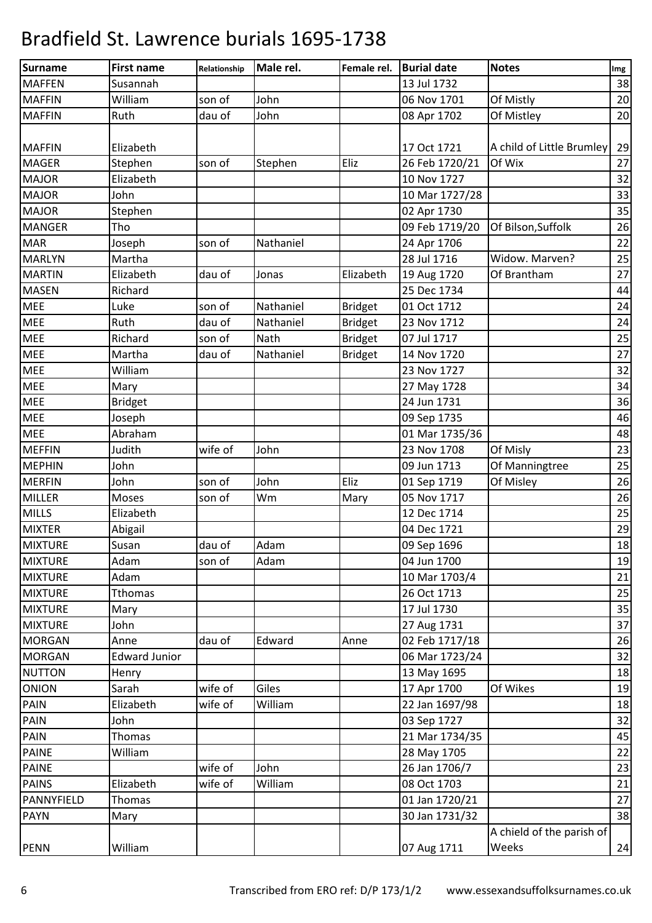| Surname        | <b>First name</b>    | Relationship | Male rel.   | Female rel.    | <b>Burial date</b> | <b>Notes</b>              | Img |
|----------------|----------------------|--------------|-------------|----------------|--------------------|---------------------------|-----|
| <b>MAFFEN</b>  | Susannah             |              |             |                | 13 Jul 1732        |                           | 38  |
| <b>MAFFIN</b>  | William              | son of       | John        |                | 06 Nov 1701        | Of Mistly                 | 20  |
| <b>MAFFIN</b>  | Ruth                 | dau of       | John        |                | 08 Apr 1702        | Of Mistley                | 20  |
|                |                      |              |             |                |                    |                           |     |
| <b>MAFFIN</b>  | Elizabeth            |              |             |                | 17 Oct 1721        | A child of Little Brumley | 29  |
| <b>MAGER</b>   | Stephen              | son of       | Stephen     | Eliz           | 26 Feb 1720/21     | Of Wix                    | 27  |
| <b>MAJOR</b>   | Elizabeth            |              |             |                | 10 Nov 1727        |                           | 32  |
| <b>MAJOR</b>   | John                 |              |             |                | 10 Mar 1727/28     |                           | 33  |
| <b>MAJOR</b>   | Stephen              |              |             |                | 02 Apr 1730        |                           | 35  |
| <b>MANGER</b>  | Tho                  |              |             |                | 09 Feb 1719/20     | Of Bilson, Suffolk        | 26  |
| <b>MAR</b>     | Joseph               | son of       | Nathaniel   |                | 24 Apr 1706        |                           | 22  |
| <b>MARLYN</b>  | Martha               |              |             |                | 28 Jul 1716        | Widow. Marven?            | 25  |
| <b>MARTIN</b>  | Elizabeth            | dau of       | Jonas       | Elizabeth      | 19 Aug 1720        | Of Brantham               | 27  |
| <b>MASEN</b>   | Richard              |              |             |                | 25 Dec 1734        |                           | 44  |
| <b>MEE</b>     | Luke                 | son of       | Nathaniel   | <b>Bridget</b> | 01 Oct 1712        |                           | 24  |
| <b>MEE</b>     | Ruth                 | dau of       | Nathaniel   | <b>Bridget</b> | 23 Nov 1712        |                           | 24  |
| <b>MEE</b>     | Richard              | son of       | <b>Nath</b> | <b>Bridget</b> | 07 Jul 1717        |                           | 25  |
| <b>MEE</b>     | Martha               | dau of       | Nathaniel   | <b>Bridget</b> | 14 Nov 1720        |                           | 27  |
| <b>MEE</b>     | William              |              |             |                | 23 Nov 1727        |                           | 32  |
| <b>MEE</b>     | Mary                 |              |             |                | 27 May 1728        |                           | 34  |
| <b>MEE</b>     | <b>Bridget</b>       |              |             |                | 24 Jun 1731        |                           | 36  |
| <b>MEE</b>     | Joseph               |              |             |                | 09 Sep 1735        |                           | 46  |
| <b>MEE</b>     | Abraham              |              |             |                | 01 Mar 1735/36     |                           | 48  |
| <b>MEFFIN</b>  | Judith               | wife of      | John        |                | 23 Nov 1708        | Of Misly                  | 23  |
| <b>MEPHIN</b>  | John                 |              |             |                | 09 Jun 1713        | Of Manningtree            | 25  |
| <b>MERFIN</b>  | John                 | son of       | John        | Eliz           | 01 Sep 1719        | Of Misley                 | 26  |
| <b>MILLER</b>  | Moses                | son of       | Wm          | Mary           | 05 Nov 1717        |                           | 26  |
| <b>MILLS</b>   | Elizabeth            |              |             |                | 12 Dec 1714        |                           | 25  |
| <b>MIXTER</b>  | Abigail              |              |             |                | 04 Dec 1721        |                           | 29  |
| <b>MIXTURE</b> | Susan                | dau of       | Adam        |                | 09 Sep 1696        |                           | 18  |
| <b>MIXTURE</b> | Adam                 | son of       | Adam        |                | 04 Jun 1700        |                           | 19  |
| <b>MIXTURE</b> | Adam                 |              |             |                | 10 Mar 1703/4      |                           | 21  |
| <b>MIXTURE</b> | <b>Tthomas</b>       |              |             |                | 26 Oct 1713        |                           | 25  |
| <b>MIXTURE</b> | Mary                 |              |             |                | 17 Jul 1730        |                           | 35  |
| <b>MIXTURE</b> | John                 |              |             |                | 27 Aug 1731        |                           | 37  |
| <b>MORGAN</b>  | Anne                 | dau of       | Edward      | Anne           | 02 Feb 1717/18     |                           | 26  |
| <b>MORGAN</b>  | <b>Edward Junior</b> |              |             |                | 06 Mar 1723/24     |                           | 32  |
| <b>NUTTON</b>  | Henry                |              |             |                | 13 May 1695        |                           | 18  |
| <b>ONION</b>   | Sarah                | wife of      | Giles       |                | 17 Apr 1700        | Of Wikes                  | 19  |
| <b>PAIN</b>    | Elizabeth            | wife of      | William     |                | 22 Jan 1697/98     |                           | 18  |
| <b>PAIN</b>    | John                 |              |             |                | 03 Sep 1727        |                           | 32  |
| <b>PAIN</b>    | <b>Thomas</b>        |              |             |                | 21 Mar 1734/35     |                           | 45  |
| <b>PAINE</b>   | William              |              |             |                | 28 May 1705        |                           | 22  |
| <b>PAINE</b>   |                      | wife of      | John        |                | 26 Jan 1706/7      |                           | 23  |
| <b>PAINS</b>   | Elizabeth            | wife of      | William     |                | 08 Oct 1703        |                           | 21  |
| PANNYFIELD     | <b>Thomas</b>        |              |             |                | 01 Jan 1720/21     |                           | 27  |
| <b>PAYN</b>    | Mary                 |              |             |                | 30 Jan 1731/32     |                           | 38  |
|                |                      |              |             |                |                    | A chield of the parish of |     |
| <b>PENN</b>    | William              |              |             |                | 07 Aug 1711        | Weeks                     | 24  |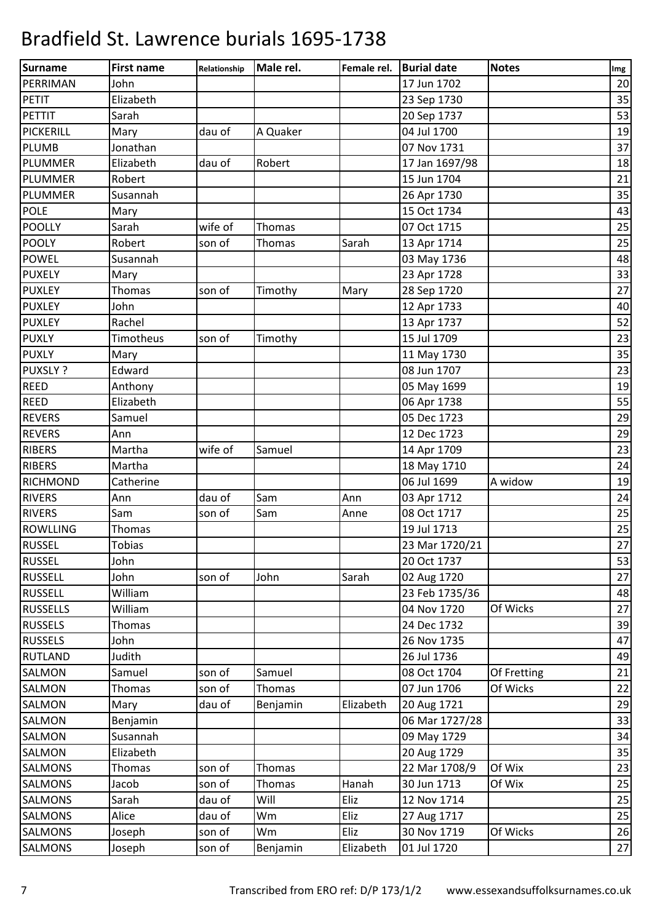| Surname         | <b>First name</b> | Relationship | Male rel.     | Female rel. | <b>Burial date</b> | <b>Notes</b> | Img |
|-----------------|-------------------|--------------|---------------|-------------|--------------------|--------------|-----|
| PERRIMAN        | John              |              |               |             | 17 Jun 1702        |              | 20  |
| <b>PETIT</b>    | Elizabeth         |              |               |             | 23 Sep 1730        |              | 35  |
| PETTIT          | Sarah             |              |               |             | 20 Sep 1737        |              | 53  |
| PICKERILL       | Mary              | dau of       | A Quaker      |             | 04 Jul 1700        |              | 19  |
| <b>PLUMB</b>    | Jonathan          |              |               |             | 07 Nov 1731        |              | 37  |
| <b>PLUMMER</b>  | Elizabeth         | dau of       | Robert        |             | 17 Jan 1697/98     |              | 18  |
| PLUMMER         | Robert            |              |               |             | 15 Jun 1704        |              | 21  |
| <b>PLUMMER</b>  | Susannah          |              |               |             | 26 Apr 1730        |              | 35  |
| <b>POLE</b>     | Mary              |              |               |             | 15 Oct 1734        |              | 43  |
| <b>POOLLY</b>   | Sarah             | wife of      | Thomas        |             | 07 Oct 1715        |              | 25  |
| <b>POOLY</b>    | Robert            | son of       | <b>Thomas</b> | Sarah       | 13 Apr 1714        |              | 25  |
| <b>POWEL</b>    | Susannah          |              |               |             | 03 May 1736        |              | 48  |
| <b>PUXELY</b>   | Mary              |              |               |             | 23 Apr 1728        |              | 33  |
| <b>PUXLEY</b>   | <b>Thomas</b>     | son of       | Timothy       | Mary        | 28 Sep 1720        |              | 27  |
| <b>PUXLEY</b>   | John              |              |               |             | 12 Apr 1733        |              | 40  |
| <b>PUXLEY</b>   | Rachel            |              |               |             | 13 Apr 1737        |              | 52  |
| <b>PUXLY</b>    | Timotheus         | son of       | Timothy       |             | 15 Jul 1709        |              | 23  |
| <b>PUXLY</b>    | Mary              |              |               |             | 11 May 1730        |              | 35  |
| PUXSLY ?        | Edward            |              |               |             | 08 Jun 1707        |              | 23  |
| <b>REED</b>     | Anthony           |              |               |             | 05 May 1699        |              | 19  |
| <b>REED</b>     | Elizabeth         |              |               |             | 06 Apr 1738        |              | 55  |
| <b>REVERS</b>   | Samuel            |              |               |             | 05 Dec 1723        |              | 29  |
| <b>REVERS</b>   | Ann               |              |               |             | 12 Dec 1723        |              | 29  |
| <b>RIBERS</b>   | Martha            | wife of      | Samuel        |             | 14 Apr 1709        |              | 23  |
| <b>RIBERS</b>   | Martha            |              |               |             | 18 May 1710        |              | 24  |
| <b>RICHMOND</b> | Catherine         |              |               |             | 06 Jul 1699        | A widow      | 19  |
| <b>RIVERS</b>   | Ann               | dau of       | Sam           | Ann         | 03 Apr 1712        |              | 24  |
| <b>RIVERS</b>   | Sam               | son of       | Sam           | Anne        | 08 Oct 1717        |              | 25  |
| <b>ROWLLING</b> | Thomas            |              |               |             | 19 Jul 1713        |              | 25  |
| <b>RUSSEL</b>   | <b>Tobias</b>     |              |               |             | 23 Mar 1720/21     |              | 27  |
| <b>RUSSEL</b>   | John              |              |               |             | 20 Oct 1737        |              | 53  |
| <b>RUSSELL</b>  | John              | son of       | John          | Sarah       | 02 Aug 1720        |              | 27  |
| <b>RUSSELL</b>  | William           |              |               |             | 23 Feb 1735/36     |              | 48  |
| <b>RUSSELLS</b> | William           |              |               |             | 04 Nov 1720        | Of Wicks     | 27  |
| <b>RUSSELS</b>  | Thomas            |              |               |             | 24 Dec 1732        |              | 39  |
| <b>RUSSELS</b>  | John              |              |               |             | 26 Nov 1735        |              | 47  |
| <b>RUTLAND</b>  | Judith            |              |               |             | 26 Jul 1736        |              | 49  |
| SALMON          | Samuel            | son of       | Samuel        |             | 08 Oct 1704        | Of Fretting  | 21  |
| <b>SALMON</b>   | <b>Thomas</b>     | son of       | Thomas        |             | 07 Jun 1706        | Of Wicks     | 22  |
| SALMON          | Mary              | dau of       | Benjamin      | Elizabeth   | 20 Aug 1721        |              | 29  |
| SALMON          | Benjamin          |              |               |             | 06 Mar 1727/28     |              | 33  |
| SALMON          | Susannah          |              |               |             | 09 May 1729        |              | 34  |
| <b>SALMON</b>   | Elizabeth         |              |               |             | 20 Aug 1729        |              | 35  |
| <b>SALMONS</b>  | <b>Thomas</b>     | son of       | Thomas        |             | 22 Mar 1708/9      | Of Wix       | 23  |
| <b>SALMONS</b>  | Jacob             | son of       | Thomas        | Hanah       | 30 Jun 1713        | Of Wix       | 25  |
| <b>SALMONS</b>  | Sarah             | dau of       | Will          | Eliz        | 12 Nov 1714        |              | 25  |
| SALMONS         | Alice             | dau of       | Wm            | Eliz        | 27 Aug 1717        |              | 25  |
| <b>SALMONS</b>  | Joseph            | son of       | Wm            | Eliz        | 30 Nov 1719        | Of Wicks     | 26  |
|                 |                   |              |               |             |                    |              |     |
| <b>SALMONS</b>  | Joseph            | son of       | Benjamin      | Elizabeth   | 01 Jul 1720        |              | 27  |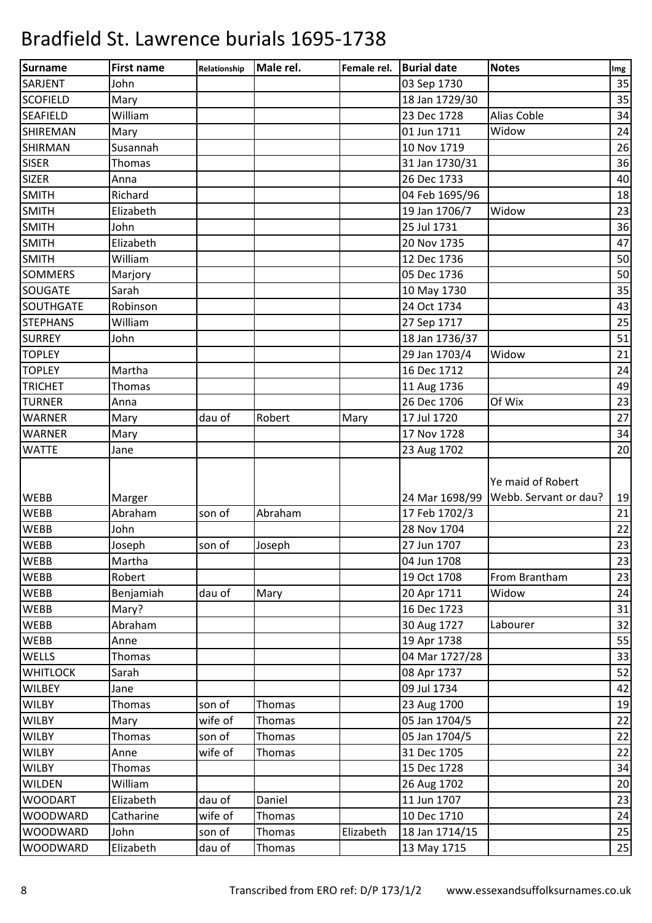| 03 Sep 1730<br><b>SARJENT</b><br>John<br>35<br>35<br>18 Jan 1729/30<br><b>SCOFIELD</b><br>Mary<br>23 Dec 1728<br>William<br><b>Alias Coble</b><br>34<br>Widow<br>01 Jun 1711<br><b>SHIREMAN</b><br>24<br>Mary<br>Susannah<br>10 Nov 1719<br>26<br>36<br><b>SISER</b><br>31 Jan 1730/31<br><b>Thomas</b><br><b>SIZER</b><br>26 Dec 1733<br>40<br>Anna<br><b>SMITH</b><br>Richard<br>04 Feb 1695/96<br>18<br><b>SMITH</b><br>Widow<br>23<br>Elizabeth<br>19 Jan 1706/7<br>John<br>25 Jul 1731<br>36<br>Elizabeth<br><b>SMITH</b><br>20 Nov 1735<br>47<br>12 Dec 1736<br><b>SMITH</b><br>William<br>50<br><b>SOMMERS</b><br>05 Dec 1736<br>50<br>Marjory<br>35<br><b>SOUGATE</b><br>Sarah<br>10 May 1730<br>SOUTHGATE<br>Robinson<br>24 Oct 1734<br>43<br>25<br>William<br><b>STEPHANS</b><br>27 Sep 1717<br><b>SURREY</b><br>John<br>18 Jan 1736/37<br>51<br>29 Jan 1703/4<br><b>TOPLEY</b><br>Widow<br>21<br>Martha<br>16 Dec 1712<br><b>TOPLEY</b><br>24<br><b>TRICHET</b><br>49<br>Thomas<br>11 Aug 1736<br>26 Dec 1706<br>Of Wix<br>23<br><b>TURNER</b><br>Anna<br>27<br><b>WARNER</b><br>dau of<br>17 Jul 1720<br>Mary<br>Robert<br>Mary<br>17 Nov 1728<br>34<br><b>WARNER</b><br>Mary<br><b>WATTE</b><br>23 Aug 1702<br>20<br>Jane<br>Ye maid of Robert<br>Webb. Servant or dau?<br><b>WEBB</b><br>19<br>24 Mar 1698/99<br>Marger<br>Abraham<br>son of<br>Abraham<br>17 Feb 1702/3<br><b>WEBB</b><br>21<br><b>WEBB</b><br>John<br>28 Nov 1704<br>22<br>23<br><b>WEBB</b><br>27 Jun 1707<br>Joseph<br>son of<br>Joseph<br>WEBB<br>23<br>Martha<br>04 Jun 1708<br>19 Oct 1708<br>WEBB<br>Robert<br>From Brantham<br>23<br><b>WEBB</b><br>20 Apr 1711<br>Benjamiah<br>dau of<br>Widow<br>24<br>Mary<br>16 Dec 1723<br><b>WEBB</b><br>Mary?<br>31<br>Abraham<br>30 Aug 1727<br>WEBB<br>Labourer<br>32<br>55<br>WEBB<br>19 Apr 1738<br>Anne<br>04 Mar 1727/28<br>WELLS<br>33<br><b>Thomas</b><br>52<br><b>WHITLOCK</b><br>Sarah<br>08 Apr 1737<br><b>WILBEY</b><br>09 Jul 1734<br>42<br>Jane<br><b>WILBY</b><br>son of<br>23 Aug 1700<br>19<br><b>Thomas</b><br>Thomas<br><b>WILBY</b><br>wife of<br>05 Jan 1704/5<br>22<br>Mary<br>Thomas<br>son of<br>05 Jan 1704/5<br><b>WILBY</b><br>22<br><b>Thomas</b><br>Thomas<br>31 Dec 1705<br><b>WILBY</b><br>Anne<br>wife of<br>22<br>Thomas<br>15 Dec 1728<br><b>WILBY</b><br>34<br>Thomas<br><b>WILDEN</b><br>26 Aug 1702<br>20<br>William<br>Elizabeth<br>11 Jun 1707<br><b>WOODART</b><br>dau of<br>Daniel<br>23<br>wife of<br>10 Dec 1710<br><b>WOODWARD</b><br>Catharine<br>24<br>Thomas<br><b>WOODWARD</b><br>John<br>son of<br>Elizabeth<br>18 Jan 1714/15<br>25<br>Thomas<br>Elizabeth<br>dau of<br>25<br><b>WOODWARD</b><br>13 May 1715<br>Thomas | Surname         | <b>First name</b> | Relationship | Male rel. | Female rel. | <b>Burial date</b> | <b>Notes</b> | Img |
|--------------------------------------------------------------------------------------------------------------------------------------------------------------------------------------------------------------------------------------------------------------------------------------------------------------------------------------------------------------------------------------------------------------------------------------------------------------------------------------------------------------------------------------------------------------------------------------------------------------------------------------------------------------------------------------------------------------------------------------------------------------------------------------------------------------------------------------------------------------------------------------------------------------------------------------------------------------------------------------------------------------------------------------------------------------------------------------------------------------------------------------------------------------------------------------------------------------------------------------------------------------------------------------------------------------------------------------------------------------------------------------------------------------------------------------------------------------------------------------------------------------------------------------------------------------------------------------------------------------------------------------------------------------------------------------------------------------------------------------------------------------------------------------------------------------------------------------------------------------------------------------------------------------------------------------------------------------------------------------------------------------------------------------------------------------------------------------------------------------------------------------------------------------------------------------------------------------------------------------------------------------------------------------------------------------------------------------------------------------------------------------------------------------------------------------------------------------------------------------------------------------------------------------------------------------------------------------------------------------------------------------------------------------------------------------------------------|-----------------|-------------------|--------------|-----------|-------------|--------------------|--------------|-----|
|                                                                                                                                                                                                                                                                                                                                                                                                                                                                                                                                                                                                                                                                                                                                                                                                                                                                                                                                                                                                                                                                                                                                                                                                                                                                                                                                                                                                                                                                                                                                                                                                                                                                                                                                                                                                                                                                                                                                                                                                                                                                                                                                                                                                                                                                                                                                                                                                                                                                                                                                                                                                                                                                                                        |                 |                   |              |           |             |                    |              |     |
|                                                                                                                                                                                                                                                                                                                                                                                                                                                                                                                                                                                                                                                                                                                                                                                                                                                                                                                                                                                                                                                                                                                                                                                                                                                                                                                                                                                                                                                                                                                                                                                                                                                                                                                                                                                                                                                                                                                                                                                                                                                                                                                                                                                                                                                                                                                                                                                                                                                                                                                                                                                                                                                                                                        |                 |                   |              |           |             |                    |              |     |
|                                                                                                                                                                                                                                                                                                                                                                                                                                                                                                                                                                                                                                                                                                                                                                                                                                                                                                                                                                                                                                                                                                                                                                                                                                                                                                                                                                                                                                                                                                                                                                                                                                                                                                                                                                                                                                                                                                                                                                                                                                                                                                                                                                                                                                                                                                                                                                                                                                                                                                                                                                                                                                                                                                        | <b>SEAFIELD</b> |                   |              |           |             |                    |              |     |
|                                                                                                                                                                                                                                                                                                                                                                                                                                                                                                                                                                                                                                                                                                                                                                                                                                                                                                                                                                                                                                                                                                                                                                                                                                                                                                                                                                                                                                                                                                                                                                                                                                                                                                                                                                                                                                                                                                                                                                                                                                                                                                                                                                                                                                                                                                                                                                                                                                                                                                                                                                                                                                                                                                        |                 |                   |              |           |             |                    |              |     |
|                                                                                                                                                                                                                                                                                                                                                                                                                                                                                                                                                                                                                                                                                                                                                                                                                                                                                                                                                                                                                                                                                                                                                                                                                                                                                                                                                                                                                                                                                                                                                                                                                                                                                                                                                                                                                                                                                                                                                                                                                                                                                                                                                                                                                                                                                                                                                                                                                                                                                                                                                                                                                                                                                                        | <b>SHIRMAN</b>  |                   |              |           |             |                    |              |     |
|                                                                                                                                                                                                                                                                                                                                                                                                                                                                                                                                                                                                                                                                                                                                                                                                                                                                                                                                                                                                                                                                                                                                                                                                                                                                                                                                                                                                                                                                                                                                                                                                                                                                                                                                                                                                                                                                                                                                                                                                                                                                                                                                                                                                                                                                                                                                                                                                                                                                                                                                                                                                                                                                                                        |                 |                   |              |           |             |                    |              |     |
|                                                                                                                                                                                                                                                                                                                                                                                                                                                                                                                                                                                                                                                                                                                                                                                                                                                                                                                                                                                                                                                                                                                                                                                                                                                                                                                                                                                                                                                                                                                                                                                                                                                                                                                                                                                                                                                                                                                                                                                                                                                                                                                                                                                                                                                                                                                                                                                                                                                                                                                                                                                                                                                                                                        |                 |                   |              |           |             |                    |              |     |
|                                                                                                                                                                                                                                                                                                                                                                                                                                                                                                                                                                                                                                                                                                                                                                                                                                                                                                                                                                                                                                                                                                                                                                                                                                                                                                                                                                                                                                                                                                                                                                                                                                                                                                                                                                                                                                                                                                                                                                                                                                                                                                                                                                                                                                                                                                                                                                                                                                                                                                                                                                                                                                                                                                        |                 |                   |              |           |             |                    |              |     |
|                                                                                                                                                                                                                                                                                                                                                                                                                                                                                                                                                                                                                                                                                                                                                                                                                                                                                                                                                                                                                                                                                                                                                                                                                                                                                                                                                                                                                                                                                                                                                                                                                                                                                                                                                                                                                                                                                                                                                                                                                                                                                                                                                                                                                                                                                                                                                                                                                                                                                                                                                                                                                                                                                                        |                 |                   |              |           |             |                    |              |     |
|                                                                                                                                                                                                                                                                                                                                                                                                                                                                                                                                                                                                                                                                                                                                                                                                                                                                                                                                                                                                                                                                                                                                                                                                                                                                                                                                                                                                                                                                                                                                                                                                                                                                                                                                                                                                                                                                                                                                                                                                                                                                                                                                                                                                                                                                                                                                                                                                                                                                                                                                                                                                                                                                                                        | <b>SMITH</b>    |                   |              |           |             |                    |              |     |
|                                                                                                                                                                                                                                                                                                                                                                                                                                                                                                                                                                                                                                                                                                                                                                                                                                                                                                                                                                                                                                                                                                                                                                                                                                                                                                                                                                                                                                                                                                                                                                                                                                                                                                                                                                                                                                                                                                                                                                                                                                                                                                                                                                                                                                                                                                                                                                                                                                                                                                                                                                                                                                                                                                        |                 |                   |              |           |             |                    |              |     |
|                                                                                                                                                                                                                                                                                                                                                                                                                                                                                                                                                                                                                                                                                                                                                                                                                                                                                                                                                                                                                                                                                                                                                                                                                                                                                                                                                                                                                                                                                                                                                                                                                                                                                                                                                                                                                                                                                                                                                                                                                                                                                                                                                                                                                                                                                                                                                                                                                                                                                                                                                                                                                                                                                                        |                 |                   |              |           |             |                    |              |     |
|                                                                                                                                                                                                                                                                                                                                                                                                                                                                                                                                                                                                                                                                                                                                                                                                                                                                                                                                                                                                                                                                                                                                                                                                                                                                                                                                                                                                                                                                                                                                                                                                                                                                                                                                                                                                                                                                                                                                                                                                                                                                                                                                                                                                                                                                                                                                                                                                                                                                                                                                                                                                                                                                                                        |                 |                   |              |           |             |                    |              |     |
|                                                                                                                                                                                                                                                                                                                                                                                                                                                                                                                                                                                                                                                                                                                                                                                                                                                                                                                                                                                                                                                                                                                                                                                                                                                                                                                                                                                                                                                                                                                                                                                                                                                                                                                                                                                                                                                                                                                                                                                                                                                                                                                                                                                                                                                                                                                                                                                                                                                                                                                                                                                                                                                                                                        |                 |                   |              |           |             |                    |              |     |
|                                                                                                                                                                                                                                                                                                                                                                                                                                                                                                                                                                                                                                                                                                                                                                                                                                                                                                                                                                                                                                                                                                                                                                                                                                                                                                                                                                                                                                                                                                                                                                                                                                                                                                                                                                                                                                                                                                                                                                                                                                                                                                                                                                                                                                                                                                                                                                                                                                                                                                                                                                                                                                                                                                        |                 |                   |              |           |             |                    |              |     |
|                                                                                                                                                                                                                                                                                                                                                                                                                                                                                                                                                                                                                                                                                                                                                                                                                                                                                                                                                                                                                                                                                                                                                                                                                                                                                                                                                                                                                                                                                                                                                                                                                                                                                                                                                                                                                                                                                                                                                                                                                                                                                                                                                                                                                                                                                                                                                                                                                                                                                                                                                                                                                                                                                                        |                 |                   |              |           |             |                    |              |     |
|                                                                                                                                                                                                                                                                                                                                                                                                                                                                                                                                                                                                                                                                                                                                                                                                                                                                                                                                                                                                                                                                                                                                                                                                                                                                                                                                                                                                                                                                                                                                                                                                                                                                                                                                                                                                                                                                                                                                                                                                                                                                                                                                                                                                                                                                                                                                                                                                                                                                                                                                                                                                                                                                                                        |                 |                   |              |           |             |                    |              |     |
|                                                                                                                                                                                                                                                                                                                                                                                                                                                                                                                                                                                                                                                                                                                                                                                                                                                                                                                                                                                                                                                                                                                                                                                                                                                                                                                                                                                                                                                                                                                                                                                                                                                                                                                                                                                                                                                                                                                                                                                                                                                                                                                                                                                                                                                                                                                                                                                                                                                                                                                                                                                                                                                                                                        |                 |                   |              |           |             |                    |              |     |
|                                                                                                                                                                                                                                                                                                                                                                                                                                                                                                                                                                                                                                                                                                                                                                                                                                                                                                                                                                                                                                                                                                                                                                                                                                                                                                                                                                                                                                                                                                                                                                                                                                                                                                                                                                                                                                                                                                                                                                                                                                                                                                                                                                                                                                                                                                                                                                                                                                                                                                                                                                                                                                                                                                        |                 |                   |              |           |             |                    |              |     |
|                                                                                                                                                                                                                                                                                                                                                                                                                                                                                                                                                                                                                                                                                                                                                                                                                                                                                                                                                                                                                                                                                                                                                                                                                                                                                                                                                                                                                                                                                                                                                                                                                                                                                                                                                                                                                                                                                                                                                                                                                                                                                                                                                                                                                                                                                                                                                                                                                                                                                                                                                                                                                                                                                                        |                 |                   |              |           |             |                    |              |     |
|                                                                                                                                                                                                                                                                                                                                                                                                                                                                                                                                                                                                                                                                                                                                                                                                                                                                                                                                                                                                                                                                                                                                                                                                                                                                                                                                                                                                                                                                                                                                                                                                                                                                                                                                                                                                                                                                                                                                                                                                                                                                                                                                                                                                                                                                                                                                                                                                                                                                                                                                                                                                                                                                                                        |                 |                   |              |           |             |                    |              |     |
|                                                                                                                                                                                                                                                                                                                                                                                                                                                                                                                                                                                                                                                                                                                                                                                                                                                                                                                                                                                                                                                                                                                                                                                                                                                                                                                                                                                                                                                                                                                                                                                                                                                                                                                                                                                                                                                                                                                                                                                                                                                                                                                                                                                                                                                                                                                                                                                                                                                                                                                                                                                                                                                                                                        |                 |                   |              |           |             |                    |              |     |
|                                                                                                                                                                                                                                                                                                                                                                                                                                                                                                                                                                                                                                                                                                                                                                                                                                                                                                                                                                                                                                                                                                                                                                                                                                                                                                                                                                                                                                                                                                                                                                                                                                                                                                                                                                                                                                                                                                                                                                                                                                                                                                                                                                                                                                                                                                                                                                                                                                                                                                                                                                                                                                                                                                        |                 |                   |              |           |             |                    |              |     |
|                                                                                                                                                                                                                                                                                                                                                                                                                                                                                                                                                                                                                                                                                                                                                                                                                                                                                                                                                                                                                                                                                                                                                                                                                                                                                                                                                                                                                                                                                                                                                                                                                                                                                                                                                                                                                                                                                                                                                                                                                                                                                                                                                                                                                                                                                                                                                                                                                                                                                                                                                                                                                                                                                                        |                 |                   |              |           |             |                    |              |     |
|                                                                                                                                                                                                                                                                                                                                                                                                                                                                                                                                                                                                                                                                                                                                                                                                                                                                                                                                                                                                                                                                                                                                                                                                                                                                                                                                                                                                                                                                                                                                                                                                                                                                                                                                                                                                                                                                                                                                                                                                                                                                                                                                                                                                                                                                                                                                                                                                                                                                                                                                                                                                                                                                                                        |                 |                   |              |           |             |                    |              |     |
|                                                                                                                                                                                                                                                                                                                                                                                                                                                                                                                                                                                                                                                                                                                                                                                                                                                                                                                                                                                                                                                                                                                                                                                                                                                                                                                                                                                                                                                                                                                                                                                                                                                                                                                                                                                                                                                                                                                                                                                                                                                                                                                                                                                                                                                                                                                                                                                                                                                                                                                                                                                                                                                                                                        |                 |                   |              |           |             |                    |              |     |
|                                                                                                                                                                                                                                                                                                                                                                                                                                                                                                                                                                                                                                                                                                                                                                                                                                                                                                                                                                                                                                                                                                                                                                                                                                                                                                                                                                                                                                                                                                                                                                                                                                                                                                                                                                                                                                                                                                                                                                                                                                                                                                                                                                                                                                                                                                                                                                                                                                                                                                                                                                                                                                                                                                        |                 |                   |              |           |             |                    |              |     |
|                                                                                                                                                                                                                                                                                                                                                                                                                                                                                                                                                                                                                                                                                                                                                                                                                                                                                                                                                                                                                                                                                                                                                                                                                                                                                                                                                                                                                                                                                                                                                                                                                                                                                                                                                                                                                                                                                                                                                                                                                                                                                                                                                                                                                                                                                                                                                                                                                                                                                                                                                                                                                                                                                                        |                 |                   |              |           |             |                    |              |     |
|                                                                                                                                                                                                                                                                                                                                                                                                                                                                                                                                                                                                                                                                                                                                                                                                                                                                                                                                                                                                                                                                                                                                                                                                                                                                                                                                                                                                                                                                                                                                                                                                                                                                                                                                                                                                                                                                                                                                                                                                                                                                                                                                                                                                                                                                                                                                                                                                                                                                                                                                                                                                                                                                                                        |                 |                   |              |           |             |                    |              |     |
|                                                                                                                                                                                                                                                                                                                                                                                                                                                                                                                                                                                                                                                                                                                                                                                                                                                                                                                                                                                                                                                                                                                                                                                                                                                                                                                                                                                                                                                                                                                                                                                                                                                                                                                                                                                                                                                                                                                                                                                                                                                                                                                                                                                                                                                                                                                                                                                                                                                                                                                                                                                                                                                                                                        |                 |                   |              |           |             |                    |              |     |
|                                                                                                                                                                                                                                                                                                                                                                                                                                                                                                                                                                                                                                                                                                                                                                                                                                                                                                                                                                                                                                                                                                                                                                                                                                                                                                                                                                                                                                                                                                                                                                                                                                                                                                                                                                                                                                                                                                                                                                                                                                                                                                                                                                                                                                                                                                                                                                                                                                                                                                                                                                                                                                                                                                        |                 |                   |              |           |             |                    |              |     |
|                                                                                                                                                                                                                                                                                                                                                                                                                                                                                                                                                                                                                                                                                                                                                                                                                                                                                                                                                                                                                                                                                                                                                                                                                                                                                                                                                                                                                                                                                                                                                                                                                                                                                                                                                                                                                                                                                                                                                                                                                                                                                                                                                                                                                                                                                                                                                                                                                                                                                                                                                                                                                                                                                                        |                 |                   |              |           |             |                    |              |     |
|                                                                                                                                                                                                                                                                                                                                                                                                                                                                                                                                                                                                                                                                                                                                                                                                                                                                                                                                                                                                                                                                                                                                                                                                                                                                                                                                                                                                                                                                                                                                                                                                                                                                                                                                                                                                                                                                                                                                                                                                                                                                                                                                                                                                                                                                                                                                                                                                                                                                                                                                                                                                                                                                                                        |                 |                   |              |           |             |                    |              |     |
|                                                                                                                                                                                                                                                                                                                                                                                                                                                                                                                                                                                                                                                                                                                                                                                                                                                                                                                                                                                                                                                                                                                                                                                                                                                                                                                                                                                                                                                                                                                                                                                                                                                                                                                                                                                                                                                                                                                                                                                                                                                                                                                                                                                                                                                                                                                                                                                                                                                                                                                                                                                                                                                                                                        |                 |                   |              |           |             |                    |              |     |
|                                                                                                                                                                                                                                                                                                                                                                                                                                                                                                                                                                                                                                                                                                                                                                                                                                                                                                                                                                                                                                                                                                                                                                                                                                                                                                                                                                                                                                                                                                                                                                                                                                                                                                                                                                                                                                                                                                                                                                                                                                                                                                                                                                                                                                                                                                                                                                                                                                                                                                                                                                                                                                                                                                        |                 |                   |              |           |             |                    |              |     |
|                                                                                                                                                                                                                                                                                                                                                                                                                                                                                                                                                                                                                                                                                                                                                                                                                                                                                                                                                                                                                                                                                                                                                                                                                                                                                                                                                                                                                                                                                                                                                                                                                                                                                                                                                                                                                                                                                                                                                                                                                                                                                                                                                                                                                                                                                                                                                                                                                                                                                                                                                                                                                                                                                                        |                 |                   |              |           |             |                    |              |     |
|                                                                                                                                                                                                                                                                                                                                                                                                                                                                                                                                                                                                                                                                                                                                                                                                                                                                                                                                                                                                                                                                                                                                                                                                                                                                                                                                                                                                                                                                                                                                                                                                                                                                                                                                                                                                                                                                                                                                                                                                                                                                                                                                                                                                                                                                                                                                                                                                                                                                                                                                                                                                                                                                                                        |                 |                   |              |           |             |                    |              |     |
|                                                                                                                                                                                                                                                                                                                                                                                                                                                                                                                                                                                                                                                                                                                                                                                                                                                                                                                                                                                                                                                                                                                                                                                                                                                                                                                                                                                                                                                                                                                                                                                                                                                                                                                                                                                                                                                                                                                                                                                                                                                                                                                                                                                                                                                                                                                                                                                                                                                                                                                                                                                                                                                                                                        |                 |                   |              |           |             |                    |              |     |
|                                                                                                                                                                                                                                                                                                                                                                                                                                                                                                                                                                                                                                                                                                                                                                                                                                                                                                                                                                                                                                                                                                                                                                                                                                                                                                                                                                                                                                                                                                                                                                                                                                                                                                                                                                                                                                                                                                                                                                                                                                                                                                                                                                                                                                                                                                                                                                                                                                                                                                                                                                                                                                                                                                        |                 |                   |              |           |             |                    |              |     |
|                                                                                                                                                                                                                                                                                                                                                                                                                                                                                                                                                                                                                                                                                                                                                                                                                                                                                                                                                                                                                                                                                                                                                                                                                                                                                                                                                                                                                                                                                                                                                                                                                                                                                                                                                                                                                                                                                                                                                                                                                                                                                                                                                                                                                                                                                                                                                                                                                                                                                                                                                                                                                                                                                                        |                 |                   |              |           |             |                    |              |     |
|                                                                                                                                                                                                                                                                                                                                                                                                                                                                                                                                                                                                                                                                                                                                                                                                                                                                                                                                                                                                                                                                                                                                                                                                                                                                                                                                                                                                                                                                                                                                                                                                                                                                                                                                                                                                                                                                                                                                                                                                                                                                                                                                                                                                                                                                                                                                                                                                                                                                                                                                                                                                                                                                                                        |                 |                   |              |           |             |                    |              |     |
|                                                                                                                                                                                                                                                                                                                                                                                                                                                                                                                                                                                                                                                                                                                                                                                                                                                                                                                                                                                                                                                                                                                                                                                                                                                                                                                                                                                                                                                                                                                                                                                                                                                                                                                                                                                                                                                                                                                                                                                                                                                                                                                                                                                                                                                                                                                                                                                                                                                                                                                                                                                                                                                                                                        |                 |                   |              |           |             |                    |              |     |
|                                                                                                                                                                                                                                                                                                                                                                                                                                                                                                                                                                                                                                                                                                                                                                                                                                                                                                                                                                                                                                                                                                                                                                                                                                                                                                                                                                                                                                                                                                                                                                                                                                                                                                                                                                                                                                                                                                                                                                                                                                                                                                                                                                                                                                                                                                                                                                                                                                                                                                                                                                                                                                                                                                        |                 |                   |              |           |             |                    |              |     |
|                                                                                                                                                                                                                                                                                                                                                                                                                                                                                                                                                                                                                                                                                                                                                                                                                                                                                                                                                                                                                                                                                                                                                                                                                                                                                                                                                                                                                                                                                                                                                                                                                                                                                                                                                                                                                                                                                                                                                                                                                                                                                                                                                                                                                                                                                                                                                                                                                                                                                                                                                                                                                                                                                                        |                 |                   |              |           |             |                    |              |     |
|                                                                                                                                                                                                                                                                                                                                                                                                                                                                                                                                                                                                                                                                                                                                                                                                                                                                                                                                                                                                                                                                                                                                                                                                                                                                                                                                                                                                                                                                                                                                                                                                                                                                                                                                                                                                                                                                                                                                                                                                                                                                                                                                                                                                                                                                                                                                                                                                                                                                                                                                                                                                                                                                                                        |                 |                   |              |           |             |                    |              |     |
|                                                                                                                                                                                                                                                                                                                                                                                                                                                                                                                                                                                                                                                                                                                                                                                                                                                                                                                                                                                                                                                                                                                                                                                                                                                                                                                                                                                                                                                                                                                                                                                                                                                                                                                                                                                                                                                                                                                                                                                                                                                                                                                                                                                                                                                                                                                                                                                                                                                                                                                                                                                                                                                                                                        |                 |                   |              |           |             |                    |              |     |
|                                                                                                                                                                                                                                                                                                                                                                                                                                                                                                                                                                                                                                                                                                                                                                                                                                                                                                                                                                                                                                                                                                                                                                                                                                                                                                                                                                                                                                                                                                                                                                                                                                                                                                                                                                                                                                                                                                                                                                                                                                                                                                                                                                                                                                                                                                                                                                                                                                                                                                                                                                                                                                                                                                        |                 |                   |              |           |             |                    |              |     |
|                                                                                                                                                                                                                                                                                                                                                                                                                                                                                                                                                                                                                                                                                                                                                                                                                                                                                                                                                                                                                                                                                                                                                                                                                                                                                                                                                                                                                                                                                                                                                                                                                                                                                                                                                                                                                                                                                                                                                                                                                                                                                                                                                                                                                                                                                                                                                                                                                                                                                                                                                                                                                                                                                                        |                 |                   |              |           |             |                    |              |     |
|                                                                                                                                                                                                                                                                                                                                                                                                                                                                                                                                                                                                                                                                                                                                                                                                                                                                                                                                                                                                                                                                                                                                                                                                                                                                                                                                                                                                                                                                                                                                                                                                                                                                                                                                                                                                                                                                                                                                                                                                                                                                                                                                                                                                                                                                                                                                                                                                                                                                                                                                                                                                                                                                                                        |                 |                   |              |           |             |                    |              |     |